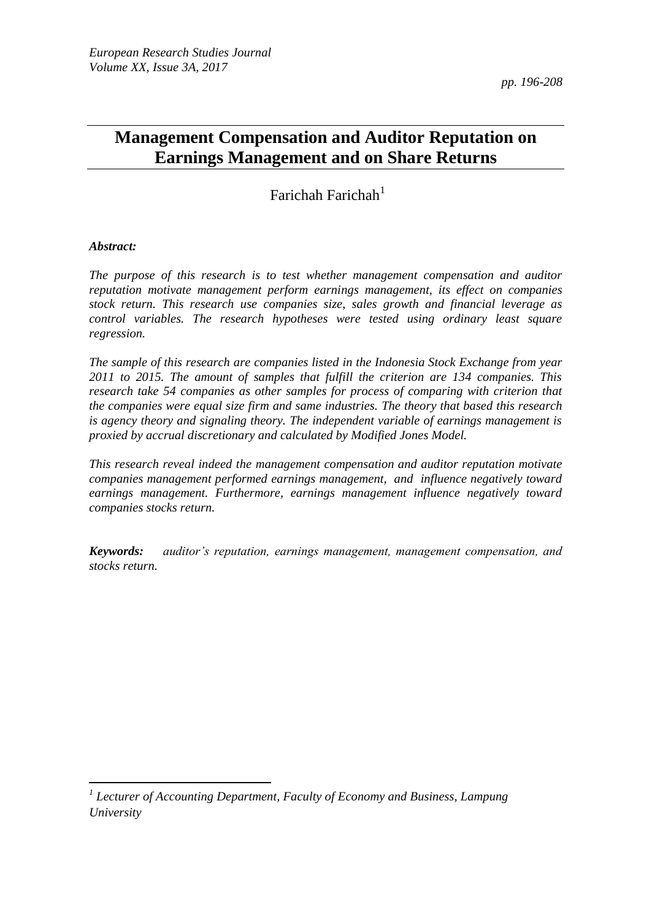*pp. 196-208*

# **Management Compensation and Auditor Reputation on Earnings Management and on Share Returns**

Farichah Farichah $<sup>1</sup>$ </sup>

#### *Abstract:*

 $\overline{\phantom{a}}$ 

*The purpose of this research is to test whether management compensation and auditor reputation motivate management perform earnings management, its effect on companies stock return. This research use companies size, sales growth and financial leverage as control variables. The research hypotheses were tested using ordinary least square regression.* 

*The sample of this research are companies listed in the Indonesia Stock Exchange from year 2011 to 2015. The amount of samples that fulfill the criterion are 134 companies. This research take 54 companies as other samples for process of comparing with criterion that the companies were equal size firm and same industries. The theory that based this research is agency theory and signaling theory. The independent variable of earnings management is proxied by accrual discretionary and calculated by Modified Jones Model.* 

*This research reveal indeed the management compensation and auditor reputation motivate companies management performed earnings management, and influence negatively toward*  earnings management. Furthermore, earnings management influence negatively toward *companies stocks return.*

*Keywords: auditor's reputation, earnings management, management compensation, and stocks return.*

*<sup>1</sup> Lecturer of Accounting Department, Faculty of Economy and Business, Lampung University*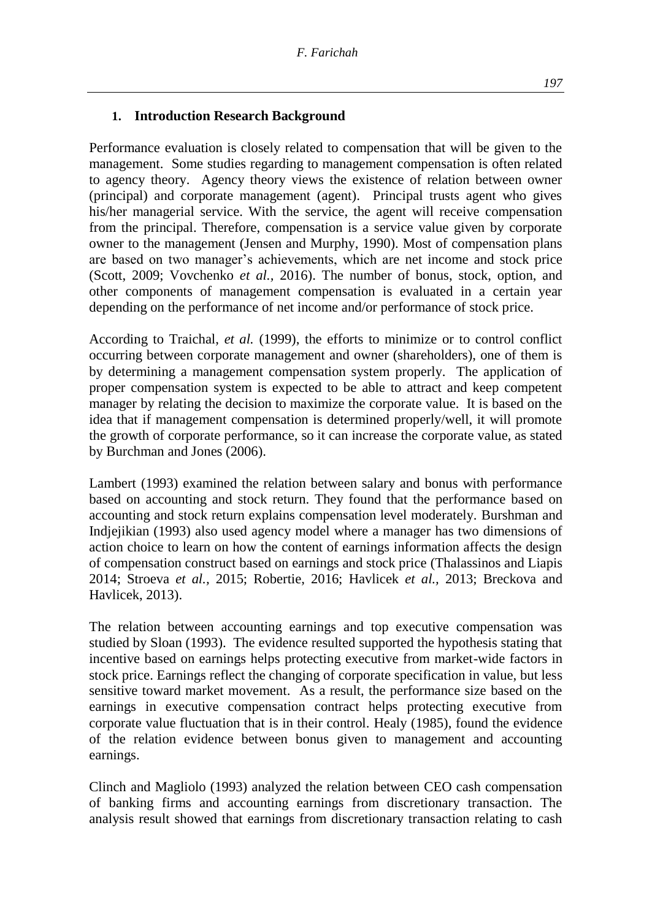### **1. Introduction Research Background**

Performance evaluation is closely related to compensation that will be given to the management. Some studies regarding to management compensation is often related to agency theory. Agency theory views the existence of relation between owner (principal) and corporate management (agent). Principal trusts agent who gives his/her managerial service. With the service, the agent will receive compensation from the principal. Therefore, compensation is a service value given by corporate owner to the management (Jensen and Murphy, 1990). Most of compensation plans are based on two manager's achievements, which are net income and stock price (Scott, 2009; Vovchenko *et al.,* 2016). The number of bonus, stock, option, and other components of management compensation is evaluated in a certain year depending on the performance of net income and/or performance of stock price.

According to Traichal, *et al.* (1999), the efforts to minimize or to control conflict occurring between corporate management and owner (shareholders), one of them is by determining a management compensation system properly. The application of proper compensation system is expected to be able to attract and keep competent manager by relating the decision to maximize the corporate value. It is based on the idea that if management compensation is determined properly/well, it will promote the growth of corporate performance, so it can increase the corporate value, as stated by Burchman and Jones (2006).

Lambert (1993) examined the relation between salary and bonus with performance based on accounting and stock return. They found that the performance based on accounting and stock return explains compensation level moderately. Burshman and Indjejikian (1993) also used agency model where a manager has two dimensions of action choice to learn on how the content of earnings information affects the design of compensation construct based on earnings and stock price (Thalassinos and Liapis 2014; Stroeva *et al.,* 2015; Robertie, 2016; Havlicek *et al.,* 2013; Breckova and Havlicek, 2013).

The relation between accounting earnings and top executive compensation was studied by Sloan (1993). The evidence resulted supported the hypothesis stating that incentive based on earnings helps protecting executive from market-wide factors in stock price. Earnings reflect the changing of corporate specification in value, but less sensitive toward market movement. As a result, the performance size based on the earnings in executive compensation contract helps protecting executive from corporate value fluctuation that is in their control. Healy (1985), found the evidence of the relation evidence between bonus given to management and accounting earnings.

Clinch and Magliolo (1993) analyzed the relation between CEO cash compensation of banking firms and accounting earnings from discretionary transaction. The analysis result showed that earnings from discretionary transaction relating to cash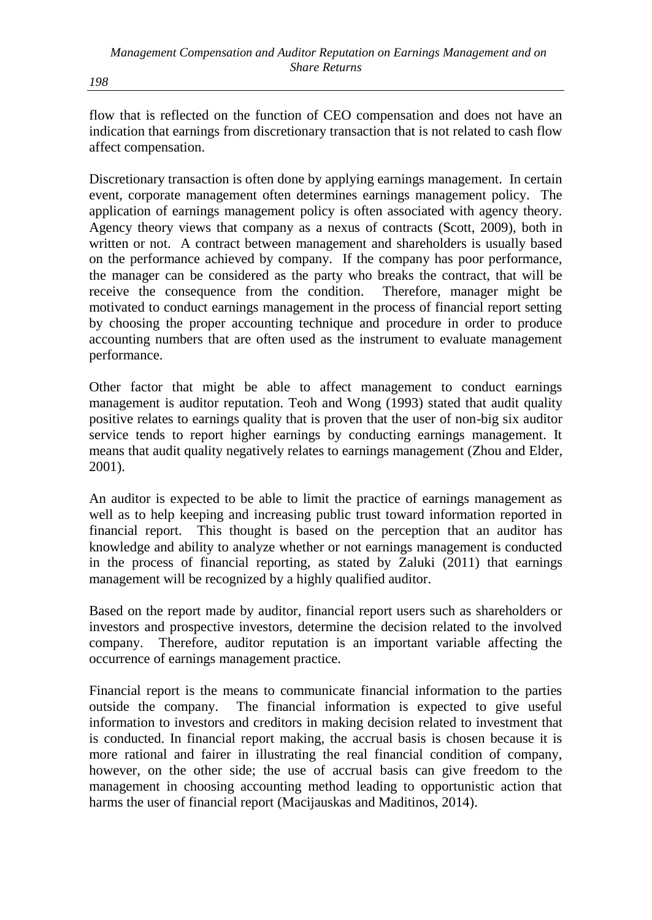flow that is reflected on the function of CEO compensation and does not have an indication that earnings from discretionary transaction that is not related to cash flow affect compensation.

Discretionary transaction is often done by applying earnings management. In certain event, corporate management often determines earnings management policy. The application of earnings management policy is often associated with agency theory. Agency theory views that company as a nexus of contracts (Scott, 2009), both in written or not. A contract between management and shareholders is usually based on the performance achieved by company. If the company has poor performance, the manager can be considered as the party who breaks the contract, that will be receive the consequence from the condition. Therefore, manager might be motivated to conduct earnings management in the process of financial report setting by choosing the proper accounting technique and procedure in order to produce accounting numbers that are often used as the instrument to evaluate management performance.

Other factor that might be able to affect management to conduct earnings management is auditor reputation. Teoh and Wong (1993) stated that audit quality positive relates to earnings quality that is proven that the user of non-big six auditor service tends to report higher earnings by conducting earnings management. It means that audit quality negatively relates to earnings management (Zhou and Elder, 2001).

An auditor is expected to be able to limit the practice of earnings management as well as to help keeping and increasing public trust toward information reported in financial report. This thought is based on the perception that an auditor has knowledge and ability to analyze whether or not earnings management is conducted in the process of financial reporting, as stated by Zaluki (2011) that earnings management will be recognized by a highly qualified auditor.

Based on the report made by auditor, financial report users such as shareholders or investors and prospective investors, determine the decision related to the involved company. Therefore, auditor reputation is an important variable affecting the occurrence of earnings management practice.

Financial report is the means to communicate financial information to the parties outside the company. The financial information is expected to give useful information to investors and creditors in making decision related to investment that is conducted. In financial report making, the accrual basis is chosen because it is more rational and fairer in illustrating the real financial condition of company, however, on the other side; the use of accrual basis can give freedom to the management in choosing accounting method leading to opportunistic action that harms the user of financial report (Macijauskas and Maditinos, 2014).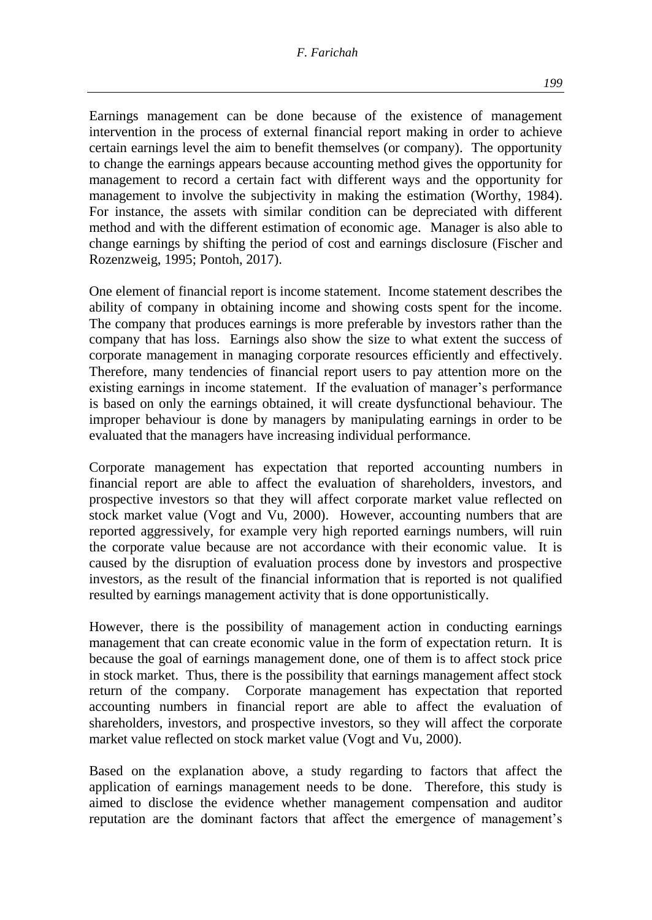#### *F. Farichah*

Earnings management can be done because of the existence of management intervention in the process of external financial report making in order to achieve certain earnings level the aim to benefit themselves (or company). The opportunity to change the earnings appears because accounting method gives the opportunity for management to record a certain fact with different ways and the opportunity for management to involve the subjectivity in making the estimation (Worthy, 1984). For instance, the assets with similar condition can be depreciated with different method and with the different estimation of economic age. Manager is also able to change earnings by shifting the period of cost and earnings disclosure (Fischer and Rozenzweig, 1995; Pontoh, 2017).

One element of financial report is income statement. Income statement describes the ability of company in obtaining income and showing costs spent for the income. The company that produces earnings is more preferable by investors rather than the company that has loss. Earnings also show the size to what extent the success of corporate management in managing corporate resources efficiently and effectively. Therefore, many tendencies of financial report users to pay attention more on the existing earnings in income statement. If the evaluation of manager's performance is based on only the earnings obtained, it will create dysfunctional behaviour. The improper behaviour is done by managers by manipulating earnings in order to be evaluated that the managers have increasing individual performance.

Corporate management has expectation that reported accounting numbers in financial report are able to affect the evaluation of shareholders, investors, and prospective investors so that they will affect corporate market value reflected on stock market value (Vogt and Vu, 2000). However, accounting numbers that are reported aggressively, for example very high reported earnings numbers, will ruin the corporate value because are not accordance with their economic value. It is caused by the disruption of evaluation process done by investors and prospective investors, as the result of the financial information that is reported is not qualified resulted by earnings management activity that is done opportunistically.

However, there is the possibility of management action in conducting earnings management that can create economic value in the form of expectation return. It is because the goal of earnings management done, one of them is to affect stock price in stock market. Thus, there is the possibility that earnings management affect stock return of the company. Corporate management has expectation that reported accounting numbers in financial report are able to affect the evaluation of shareholders, investors, and prospective investors, so they will affect the corporate market value reflected on stock market value (Vogt and Vu, 2000).

Based on the explanation above, a study regarding to factors that affect the application of earnings management needs to be done. Therefore, this study is aimed to disclose the evidence whether management compensation and auditor reputation are the dominant factors that affect the emergence of management's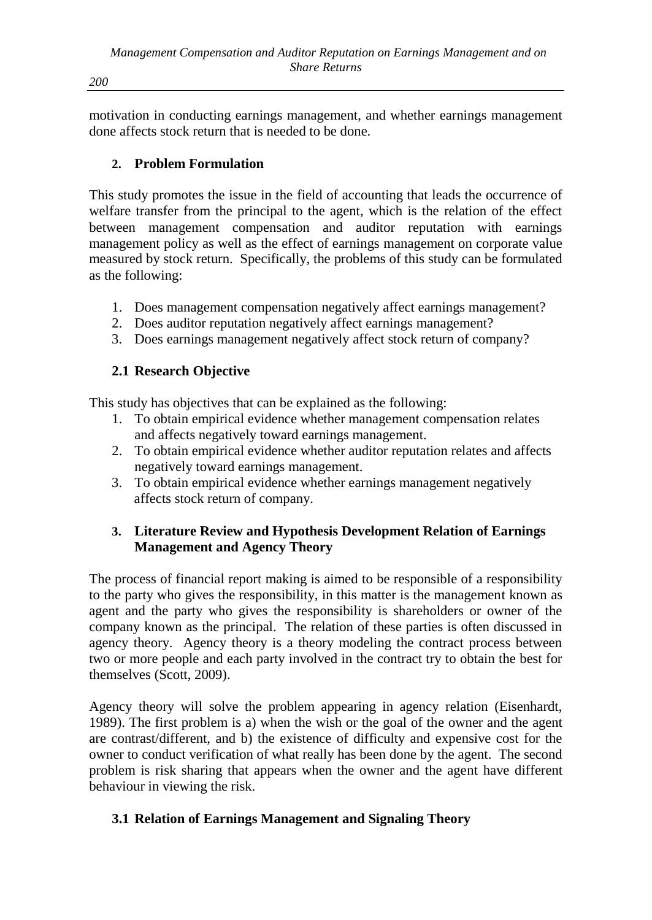motivation in conducting earnings management, and whether earnings management done affects stock return that is needed to be done.

## **2. Problem Formulation**

This study promotes the issue in the field of accounting that leads the occurrence of welfare transfer from the principal to the agent, which is the relation of the effect between management compensation and auditor reputation with earnings management policy as well as the effect of earnings management on corporate value measured by stock return. Specifically, the problems of this study can be formulated as the following:

- 1. Does management compensation negatively affect earnings management?
- 2. Does auditor reputation negatively affect earnings management?
- 3. Does earnings management negatively affect stock return of company?

### **2.1 Research Objective**

This study has objectives that can be explained as the following:

- 1. To obtain empirical evidence whether management compensation relates and affects negatively toward earnings management.
- 2. To obtain empirical evidence whether auditor reputation relates and affects negatively toward earnings management.
- 3. To obtain empirical evidence whether earnings management negatively affects stock return of company.

### **3. Literature Review and Hypothesis Development Relation of Earnings Management and Agency Theory**

The process of financial report making is aimed to be responsible of a responsibility to the party who gives the responsibility, in this matter is the management known as agent and the party who gives the responsibility is shareholders or owner of the company known as the principal. The relation of these parties is often discussed in agency theory. Agency theory is a theory modeling the contract process between two or more people and each party involved in the contract try to obtain the best for themselves (Scott, 2009).

Agency theory will solve the problem appearing in agency relation (Eisenhardt, 1989). The first problem is a) when the wish or the goal of the owner and the agent are contrast/different, and b) the existence of difficulty and expensive cost for the owner to conduct verification of what really has been done by the agent. The second problem is risk sharing that appears when the owner and the agent have different behaviour in viewing the risk.

### **3.1 Relation of Earnings Management and Signaling Theory**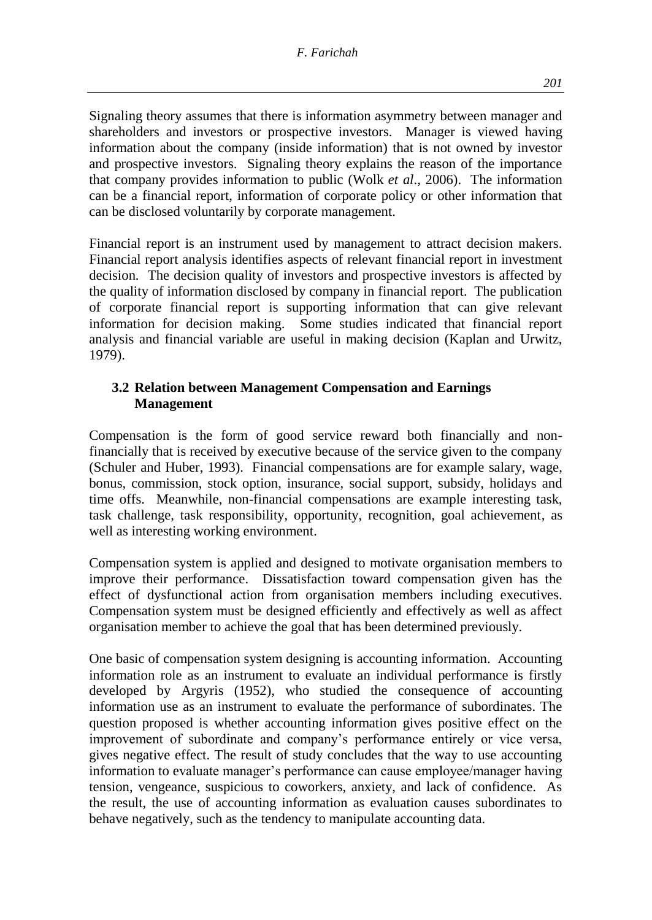*201*

Signaling theory assumes that there is information asymmetry between manager and shareholders and investors or prospective investors. Manager is viewed having information about the company (inside information) that is not owned by investor and prospective investors. Signaling theory explains the reason of the importance that company provides information to public (Wolk *et al*., 2006). The information can be a financial report, information of corporate policy or other information that can be disclosed voluntarily by corporate management.

Financial report is an instrument used by management to attract decision makers. Financial report analysis identifies aspects of relevant financial report in investment decision. The decision quality of investors and prospective investors is affected by the quality of information disclosed by company in financial report. The publication of corporate financial report is supporting information that can give relevant information for decision making. Some studies indicated that financial report analysis and financial variable are useful in making decision (Kaplan and Urwitz, 1979).

### **3.2 Relation between Management Compensation and Earnings Management**

Compensation is the form of good service reward both financially and nonfinancially that is received by executive because of the service given to the company (Schuler and Huber, 1993). Financial compensations are for example salary, wage, bonus, commission, stock option, insurance, social support, subsidy, holidays and time offs. Meanwhile, non-financial compensations are example interesting task, task challenge, task responsibility, opportunity, recognition, goal achievement, as well as interesting working environment.

Compensation system is applied and designed to motivate organisation members to improve their performance. Dissatisfaction toward compensation given has the effect of dysfunctional action from organisation members including executives. Compensation system must be designed efficiently and effectively as well as affect organisation member to achieve the goal that has been determined previously.

One basic of compensation system designing is accounting information. Accounting information role as an instrument to evaluate an individual performance is firstly developed by Argyris (1952), who studied the consequence of accounting information use as an instrument to evaluate the performance of subordinates. The question proposed is whether accounting information gives positive effect on the improvement of subordinate and company's performance entirely or vice versa, gives negative effect. The result of study concludes that the way to use accounting information to evaluate manager's performance can cause employee/manager having tension, vengeance, suspicious to coworkers, anxiety, and lack of confidence. As the result, the use of accounting information as evaluation causes subordinates to behave negatively, such as the tendency to manipulate accounting data.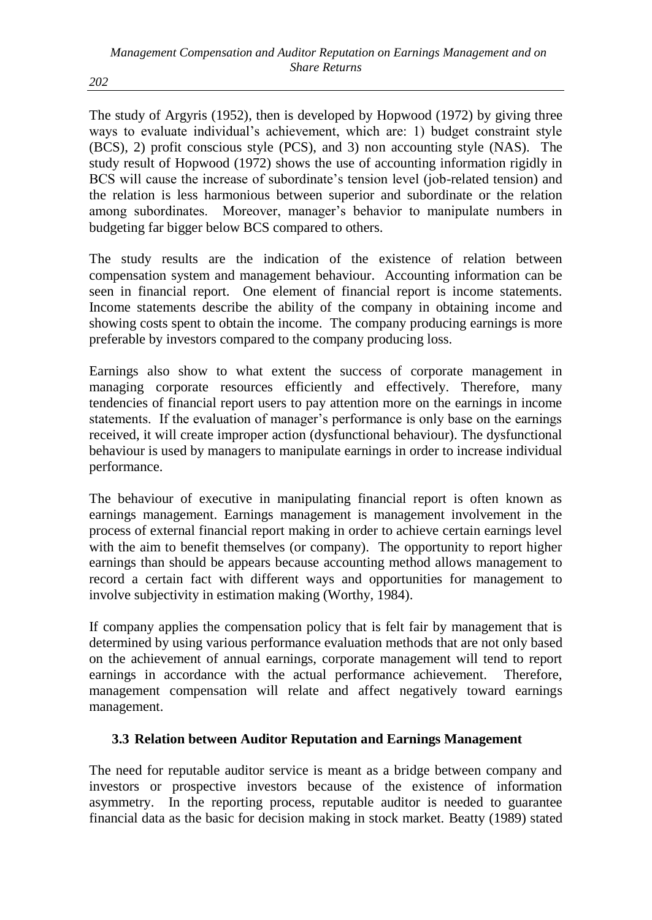The study of Argyris (1952), then is developed by Hopwood (1972) by giving three ways to evaluate individual's achievement, which are: 1) budget constraint style (BCS), 2) profit conscious style (PCS), and 3) non accounting style (NAS). The study result of Hopwood (1972) shows the use of accounting information rigidly in BCS will cause the increase of subordinate's tension level (job-related tension) and the relation is less harmonious between superior and subordinate or the relation among subordinates. Moreover, manager's behavior to manipulate numbers in budgeting far bigger below BCS compared to others.

The study results are the indication of the existence of relation between compensation system and management behaviour. Accounting information can be seen in financial report. One element of financial report is income statements. Income statements describe the ability of the company in obtaining income and showing costs spent to obtain the income. The company producing earnings is more preferable by investors compared to the company producing loss.

Earnings also show to what extent the success of corporate management in managing corporate resources efficiently and effectively. Therefore, many tendencies of financial report users to pay attention more on the earnings in income statements. If the evaluation of manager's performance is only base on the earnings received, it will create improper action (dysfunctional behaviour). The dysfunctional behaviour is used by managers to manipulate earnings in order to increase individual performance.

The behaviour of executive in manipulating financial report is often known as earnings management. Earnings management is management involvement in the process of external financial report making in order to achieve certain earnings level with the aim to benefit themselves (or company). The opportunity to report higher earnings than should be appears because accounting method allows management to record a certain fact with different ways and opportunities for management to involve subjectivity in estimation making (Worthy, 1984).

If company applies the compensation policy that is felt fair by management that is determined by using various performance evaluation methods that are not only based on the achievement of annual earnings, corporate management will tend to report earnings in accordance with the actual performance achievement. Therefore, management compensation will relate and affect negatively toward earnings management.

# **3.3 Relation between Auditor Reputation and Earnings Management**

The need for reputable auditor service is meant as a bridge between company and investors or prospective investors because of the existence of information asymmetry. In the reporting process, reputable auditor is needed to guarantee financial data as the basic for decision making in stock market. Beatty (1989) stated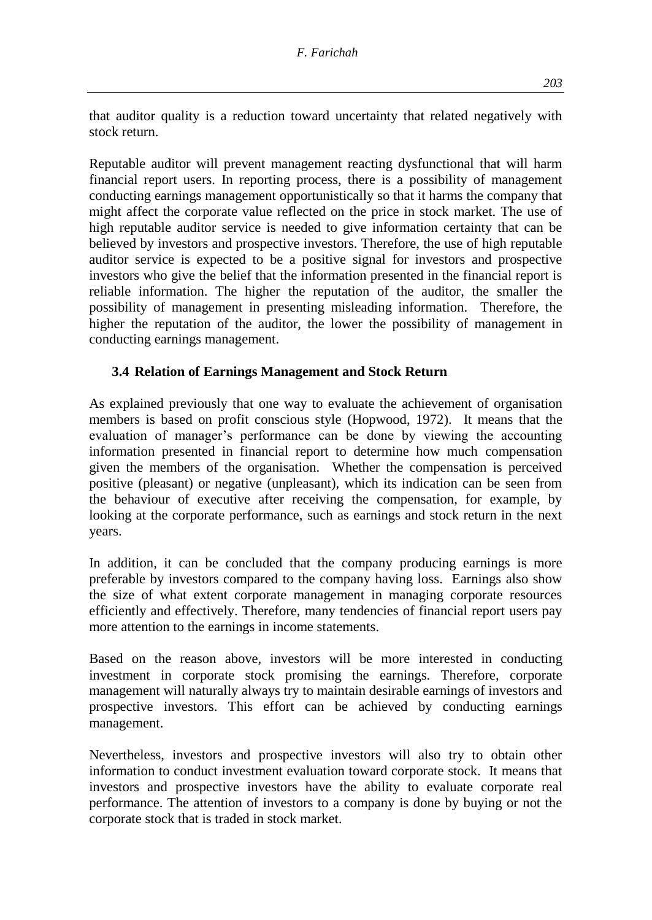that auditor quality is a reduction toward uncertainty that related negatively with stock return.

Reputable auditor will prevent management reacting dysfunctional that will harm financial report users. In reporting process, there is a possibility of management conducting earnings management opportunistically so that it harms the company that might affect the corporate value reflected on the price in stock market. The use of high reputable auditor service is needed to give information certainty that can be believed by investors and prospective investors. Therefore, the use of high reputable auditor service is expected to be a positive signal for investors and prospective investors who give the belief that the information presented in the financial report is reliable information. The higher the reputation of the auditor, the smaller the possibility of management in presenting misleading information. Therefore, the higher the reputation of the auditor, the lower the possibility of management in conducting earnings management.

### **3.4 Relation of Earnings Management and Stock Return**

As explained previously that one way to evaluate the achievement of organisation members is based on profit conscious style (Hopwood, 1972). It means that the evaluation of manager's performance can be done by viewing the accounting information presented in financial report to determine how much compensation given the members of the organisation. Whether the compensation is perceived positive (pleasant) or negative (unpleasant), which its indication can be seen from the behaviour of executive after receiving the compensation, for example, by looking at the corporate performance, such as earnings and stock return in the next years.

In addition, it can be concluded that the company producing earnings is more preferable by investors compared to the company having loss. Earnings also show the size of what extent corporate management in managing corporate resources efficiently and effectively. Therefore, many tendencies of financial report users pay more attention to the earnings in income statements.

Based on the reason above, investors will be more interested in conducting investment in corporate stock promising the earnings. Therefore, corporate management will naturally always try to maintain desirable earnings of investors and prospective investors. This effort can be achieved by conducting earnings management.

Nevertheless, investors and prospective investors will also try to obtain other information to conduct investment evaluation toward corporate stock. It means that investors and prospective investors have the ability to evaluate corporate real performance. The attention of investors to a company is done by buying or not the corporate stock that is traded in stock market.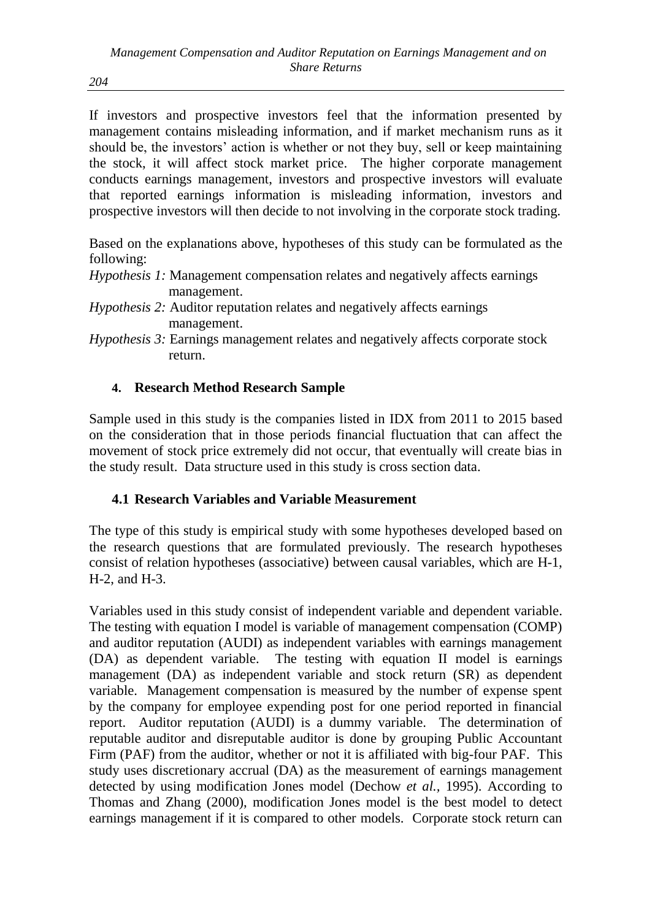If investors and prospective investors feel that the information presented by management contains misleading information, and if market mechanism runs as it should be, the investors' action is whether or not they buy, sell or keep maintaining the stock, it will affect stock market price. The higher corporate management conducts earnings management, investors and prospective investors will evaluate that reported earnings information is misleading information, investors and prospective investors will then decide to not involving in the corporate stock trading.

Based on the explanations above, hypotheses of this study can be formulated as the following:

- *Hypothesis 1:* Management compensation relates and negatively affects earnings management.
- *Hypothesis 2:* Auditor reputation relates and negatively affects earnings management.

*Hypothesis 3:* Earnings management relates and negatively affects corporate stock return.

### **4. Research Method Research Sample**

Sample used in this study is the companies listed in IDX from 2011 to 2015 based on the consideration that in those periods financial fluctuation that can affect the movement of stock price extremely did not occur, that eventually will create bias in the study result. Data structure used in this study is cross section data.

### **4.1 Research Variables and Variable Measurement**

The type of this study is empirical study with some hypotheses developed based on the research questions that are formulated previously. The research hypotheses consist of relation hypotheses (associative) between causal variables, which are H-1, H-2, and H-3.

Variables used in this study consist of independent variable and dependent variable. The testing with equation I model is variable of management compensation (COMP) and auditor reputation (AUDI) as independent variables with earnings management (DA) as dependent variable. The testing with equation II model is earnings management (DA) as independent variable and stock return (SR) as dependent variable. Management compensation is measured by the number of expense spent by the company for employee expending post for one period reported in financial report. Auditor reputation (AUDI) is a dummy variable. The determination of reputable auditor and disreputable auditor is done by grouping Public Accountant Firm (PAF) from the auditor, whether or not it is affiliated with big-four PAF. This study uses discretionary accrual (DA) as the measurement of earnings management detected by using modification Jones model (Dechow *et al.,* 1995). According to Thomas and Zhang (2000), modification Jones model is the best model to detect earnings management if it is compared to other models. Corporate stock return can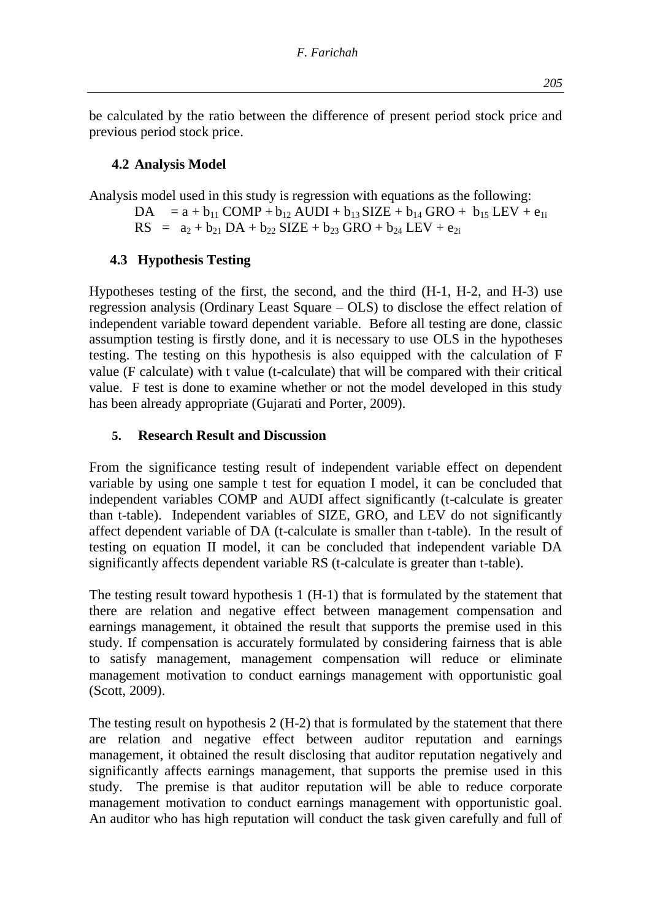be calculated by the ratio between the difference of present period stock price and previous period stock price.

### **4.2 Analysis Model**

Analysis model used in this study is regression with equations as the following:  $DA = a + b_{11} COMP + b_{12} AUDI + b_{13} SIZE + b_{14} GRO + b_{15} LEV + e_{1i}$  $RS = a_2 + b_{21} DA + b_{22} SIZE + b_{23} GRO + b_{24} LEV + e_{21}$ 

### **4.3 Hypothesis Testing**

Hypotheses testing of the first, the second, and the third (H-1, H-2, and H-3) use regression analysis (Ordinary Least Square – OLS) to disclose the effect relation of independent variable toward dependent variable. Before all testing are done, classic assumption testing is firstly done, and it is necessary to use OLS in the hypotheses testing. The testing on this hypothesis is also equipped with the calculation of F value (F calculate) with t value (t-calculate) that will be compared with their critical value. F test is done to examine whether or not the model developed in this study has been already appropriate (Gujarati and Porter, 2009).

### **5. Research Result and Discussion**

From the significance testing result of independent variable effect on dependent variable by using one sample t test for equation I model, it can be concluded that independent variables COMP and AUDI affect significantly (t-calculate is greater than t-table). Independent variables of SIZE, GRO, and LEV do not significantly affect dependent variable of DA (t-calculate is smaller than t-table). In the result of testing on equation II model, it can be concluded that independent variable DA significantly affects dependent variable RS (t-calculate is greater than t-table).

The testing result toward hypothesis 1 (H-1) that is formulated by the statement that there are relation and negative effect between management compensation and earnings management, it obtained the result that supports the premise used in this study. If compensation is accurately formulated by considering fairness that is able to satisfy management, management compensation will reduce or eliminate management motivation to conduct earnings management with opportunistic goal (Scott, 2009).

The testing result on hypothesis 2 (H-2) that is formulated by the statement that there are relation and negative effect between auditor reputation and earnings management, it obtained the result disclosing that auditor reputation negatively and significantly affects earnings management, that supports the premise used in this study. The premise is that auditor reputation will be able to reduce corporate management motivation to conduct earnings management with opportunistic goal. An auditor who has high reputation will conduct the task given carefully and full of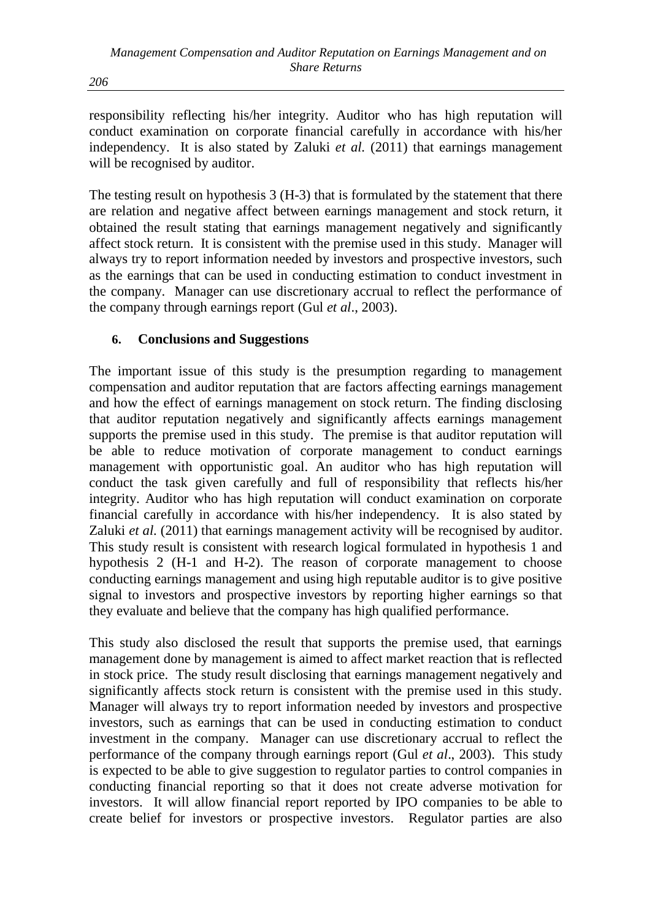responsibility reflecting his/her integrity. Auditor who has high reputation will conduct examination on corporate financial carefully in accordance with his/her independency. It is also stated by Zaluki *et al.* (2011) that earnings management will be recognised by auditor.

The testing result on hypothesis 3 (H-3) that is formulated by the statement that there are relation and negative affect between earnings management and stock return, it obtained the result stating that earnings management negatively and significantly affect stock return. It is consistent with the premise used in this study. Manager will always try to report information needed by investors and prospective investors, such as the earnings that can be used in conducting estimation to conduct investment in the company. Manager can use discretionary accrual to reflect the performance of the company through earnings report (Gul *et al*., 2003).

### **6. Conclusions and Suggestions**

The important issue of this study is the presumption regarding to management compensation and auditor reputation that are factors affecting earnings management and how the effect of earnings management on stock return. The finding disclosing that auditor reputation negatively and significantly affects earnings management supports the premise used in this study. The premise is that auditor reputation will be able to reduce motivation of corporate management to conduct earnings management with opportunistic goal. An auditor who has high reputation will conduct the task given carefully and full of responsibility that reflects his/her integrity. Auditor who has high reputation will conduct examination on corporate financial carefully in accordance with his/her independency. It is also stated by Zaluki *et al.* (2011) that earnings management activity will be recognised by auditor. This study result is consistent with research logical formulated in hypothesis 1 and hypothesis 2 (H-1 and H-2). The reason of corporate management to choose conducting earnings management and using high reputable auditor is to give positive signal to investors and prospective investors by reporting higher earnings so that they evaluate and believe that the company has high qualified performance.

This study also disclosed the result that supports the premise used, that earnings management done by management is aimed to affect market reaction that is reflected in stock price. The study result disclosing that earnings management negatively and significantly affects stock return is consistent with the premise used in this study. Manager will always try to report information needed by investors and prospective investors, such as earnings that can be used in conducting estimation to conduct investment in the company. Manager can use discretionary accrual to reflect the performance of the company through earnings report (Gul *et al*., 2003). This study is expected to be able to give suggestion to regulator parties to control companies in conducting financial reporting so that it does not create adverse motivation for investors. It will allow financial report reported by IPO companies to be able to create belief for investors or prospective investors. Regulator parties are also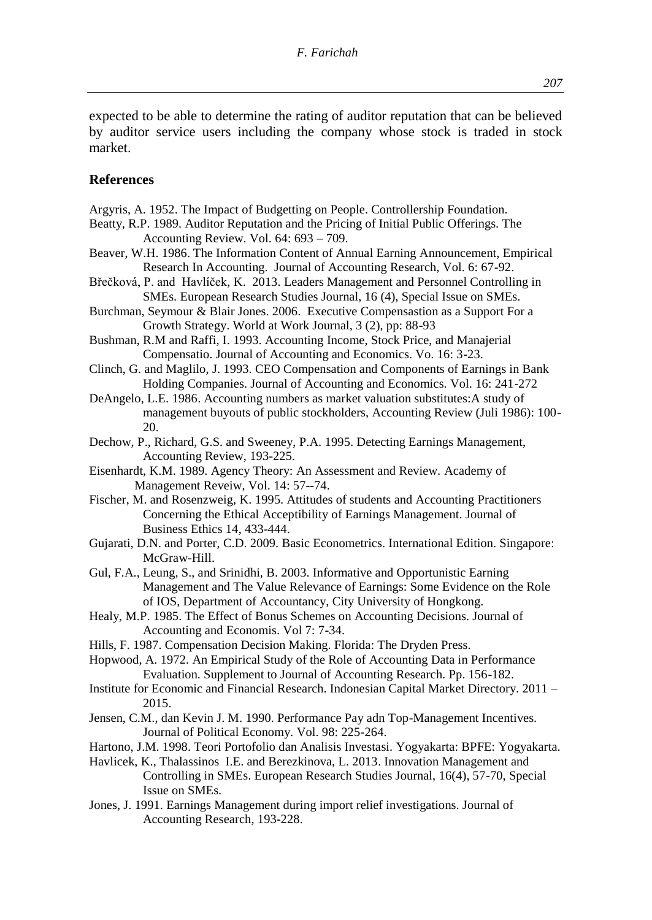### **References**

market.

- Argyris, A. 1952. The Impact of Budgetting on People. Controllership Foundation.
- Beatty, R.P. 1989. Auditor Reputation and the Pricing of Initial Public Offerings. The Accounting Review. Vol. 64: 693 – 709.
- Beaver, W.H. 1986. The Information Content of Annual Earning Announcement, Empirical Research In Accounting. Journal of Accounting Research, Vol. 6: 67-92.
- Břečková, P. and Havlíček, K. 2013. Leaders Management and Personnel Controlling in SMEs. European Research Studies Journal, 16 (4), Special Issue on SMEs.
- Burchman, Seymour & Blair Jones. 2006. Executive Compensastion as a Support For a Growth Strategy. World at Work Journal, 3 (2), pp: 88-93
- Bushman, R.M and Raffi, I. 1993. Accounting Income, Stock Price, and Manajerial Compensatio. Journal of Accounting and Economics. Vo. 16: 3-23.
- Clinch, G. and Maglilo, J. 1993. CEO Compensation and Components of Earnings in Bank Holding Companies. Journal of Accounting and Economics. Vol. 16: 241-272
- DeAngelo, L.E. 1986. Accounting numbers as market valuation substitutes:A study of management buyouts of public stockholders, Accounting Review (Juli 1986): 100- 20.
- Dechow, P., Richard, G.S. and Sweeney, P.A. 1995. Detecting Earnings Management, Accounting Review, 193-225.
- Eisenhardt, K.M. 1989. Agency Theory: An Assessment and Review. Academy of Management Reveiw, Vol. 14: 57--74.
- Fischer, M. and Rosenzweig, K. 1995. Attitudes of students and Accounting Practitioners Concerning the Ethical Acceptibility of Earnings Management. Journal of Business Ethics 14, 433-444.
- Gujarati, D.N. and Porter, C.D. 2009. Basic Econometrics. International Edition. Singapore: McGraw-Hill.
- Gul, F.A., Leung, S., and Srinidhi, B. 2003. Informative and Opportunistic Earning Management and The Value Relevance of Earnings: Some Evidence on the Role of IOS, Department of Accountancy, City University of Hongkong.
- Healy, M.P. 1985. The Effect of Bonus Schemes on Accounting Decisions. Journal of Accounting and Economis. Vol 7: 7-34.
- Hills, F. 1987. Compensation Decision Making. Florida: The Dryden Press.
- Hopwood, A. 1972. An Empirical Study of the Role of Accounting Data in Performance Evaluation. Supplement to Journal of Accounting Research. Pp. 156-182.
- Institute for Economic and Financial Research. Indonesian Capital Market Directory. 2011 2015.
- Jensen, C.M., dan Kevin J. M. 1990. Performance Pay adn Top-Management Incentives. Journal of Political Economy. Vol. 98: 225-264.
- Hartono, J.M. 1998. Teori Portofolio dan Analisis Investasi. Yogyakarta: BPFE: Yogyakarta.
- Havlícek, K., Thalassinos I.E. and Berezkinova, L. 2013. Innovation Management and Controlling in SMEs. European Research Studies Journal, 16(4), 57-70, Special Issue on SMEs.
- Jones, J. 1991. Earnings Management during import relief investigations. Journal of Accounting Research, 193-228.